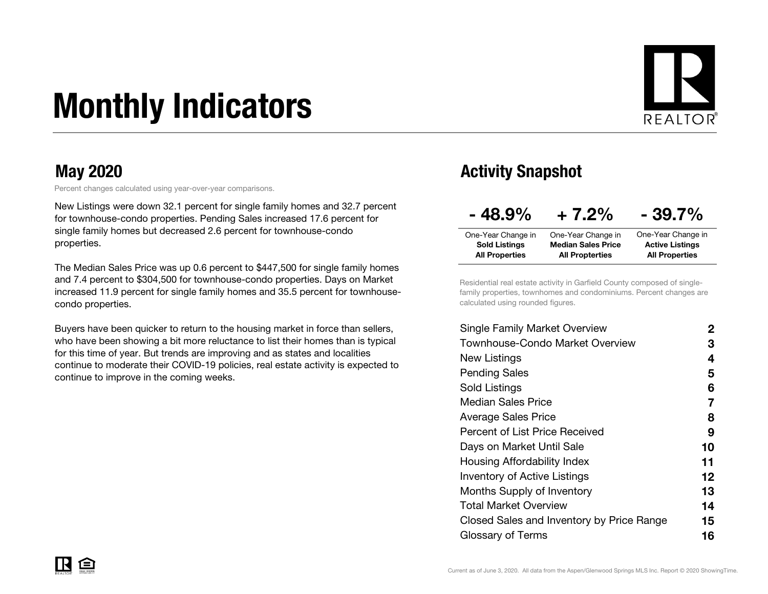# Monthly Indicators



Percent changes calculated using year-over-year comparisons.

New Listings were down 32.1 percent for single family homes and 32.7 percent for townhouse-condo properties. Pending Sales increased 17.6 percent for single family homes but decreased 2.6 percent for townhouse-condo properties.

The Median Sales Price was up 0.6 percent to \$447,500 for single family homes and 7.4 percent to \$304,500 for townhouse-condo properties. Days on Market increased 11.9 percent for single family homes and 35.5 percent for townhousecondo properties.

Buyers have been quicker to return to the housing market in force than sellers, who have been showing a bit more reluctance to list their homes than is typical for this time of year. But trends are improving and as states and localities continue to moderate their COVID-19 policies, real estate activity is expected to continue to improve in the coming weeks.

#### May 2020 May 2020 **Activity Snapshot**

| $-48.9%$              | $+7.2%$                   | $-39.7%$               |  |  |  |  |
|-----------------------|---------------------------|------------------------|--|--|--|--|
| One-Year Change in    | One-Year Change in        | One-Year Change in     |  |  |  |  |
| <b>Sold Listings</b>  | <b>Median Sales Price</b> | <b>Active Listings</b> |  |  |  |  |
| <b>All Properties</b> | <b>All Propterties</b>    | <b>All Properties</b>  |  |  |  |  |

Residential real estate activity in Garfield County composed of singlefamily properties, townhomes and condominiums. Percent changes are calculated using rounded figures.

| Single Family Market Overview             | 2                 |
|-------------------------------------------|-------------------|
| Townhouse-Condo Market Overview           | З                 |
| New Listings                              | 4                 |
| <b>Pending Sales</b>                      | 5                 |
| Sold Listings                             | 6                 |
| <b>Median Sales Price</b>                 | 7                 |
| Average Sales Price                       | 8                 |
| Percent of List Price Received            | 9                 |
| Days on Market Until Sale                 | 10                |
| Housing Affordability Index               | 11                |
| <b>Inventory of Active Listings</b>       | $12 \overline{ }$ |
| <b>Months Supply of Inventory</b>         | 13                |
| Total Market Overview                     | 14                |
| Closed Sales and Inventory by Price Range | 15                |
| Glossary of Terms                         | 16                |
|                                           |                   |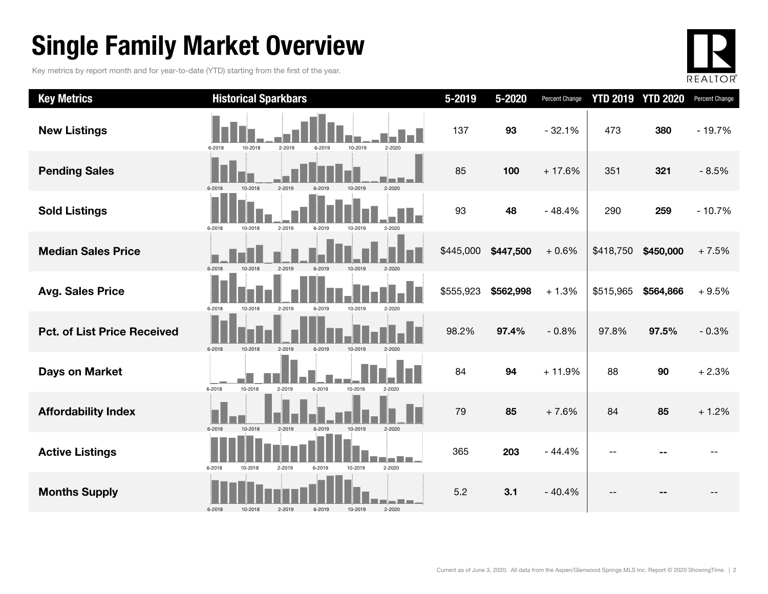### Single Family Market Overview

Key metrics by report month and for year-to-date (YTD) starting from the first of the year.



| <b>Key Metrics</b>                 | <b>Historical Sparkbars</b>                                    | 5-2019    | 5-2020    | Percent Change | <b>YTD 2019</b> | <b>YTD 2020</b> | Percent Change |
|------------------------------------|----------------------------------------------------------------|-----------|-----------|----------------|-----------------|-----------------|----------------|
| <b>New Listings</b>                | 2-2019<br>10-2019<br>2-2020<br>6-2018<br>10-2018<br>6-2019     | 137       | 93        | $-32.1%$       | 473             | 380             | $-19.7%$       |
| <b>Pending Sales</b>               | 2-2019<br>2-2020<br>10-2018<br>10-2019<br>6-2018               | 85        | 100       | $+17.6%$       | 351             | 321             | $-8.5%$        |
| <b>Sold Listings</b>               | 2-2019<br>6-2018<br>10-2018<br>6-2019<br>10-2019<br>2-2020     | 93        | 48        | $-48.4%$       | 290             | 259             | $-10.7%$       |
| <b>Median Sales Price</b>          | 6-2018<br>10-2018<br>2-2019<br>6-2019<br>10-2019<br>$2 - 2020$ | \$445,000 | \$447,500 | $+0.6%$        | \$418,750       | \$450,000       | $+7.5%$        |
| <b>Avg. Sales Price</b>            | 2-2019<br>6-2019<br>6-2018<br>10-2018<br>10-2019<br>$2 - 2020$ | \$555,923 | \$562,998 | $+1.3%$        | \$515,965       | \$564,866       | $+9.5%$        |
| <b>Pct. of List Price Received</b> | $6 - 2018$<br>2-2019<br>6-2019<br>10-2018<br>10-2019<br>2-2020 | 98.2%     | 97.4%     | $-0.8%$        | 97.8%           | 97.5%           | $-0.3%$        |
| <b>Days on Market</b>              | 10-2018<br>6-2018<br>2-2019<br>6-2019<br>10-2019<br>$2 - 2020$ | 84        | 94        | $+11.9%$       | 88              | 90              | $+2.3%$        |
| <b>Affordability Index</b>         | 10-2018<br>2-2019<br>6-2019<br>10-2019<br>$2 - 2020$<br>6-2018 | 79        | 85        | $+7.6%$        | 84              | 85              | $+1.2%$        |
| <b>Active Listings</b>             | 2-2020<br>6-2018<br>2-2019<br>10-2019<br>10-2018<br>6-2019     | 365       | 203       | $-44.4%$       |                 |                 |                |
| <b>Months Supply</b>               | 2-2020<br>6-2018<br>10-2018<br>2-2019<br>6-2019<br>10-2019     | 5.2       | 3.1       | $-40.4%$       |                 |                 |                |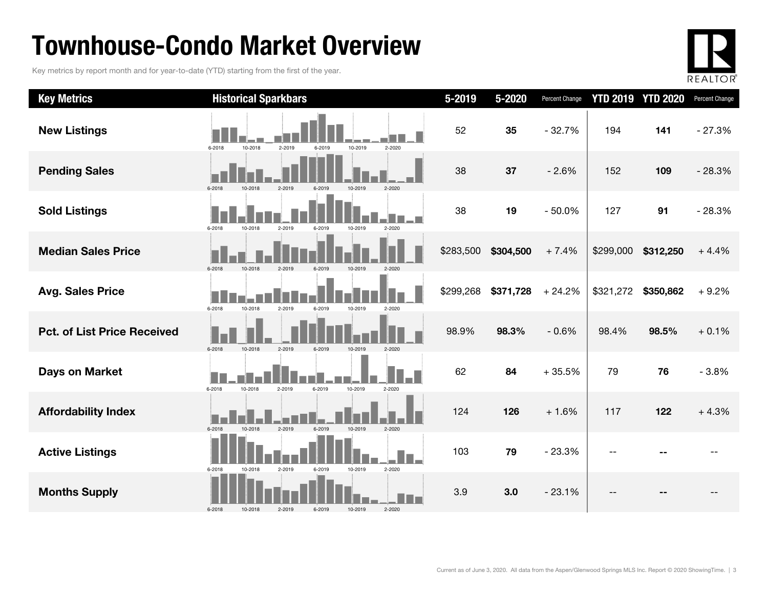### Townhouse-Condo Market Overview

Key metrics by report month and for year-to-date (YTD) starting from the first of the year.



| <b>Key Metrics</b>                 | <b>Historical Sparkbars</b>                                    | 5-2019    | 5-2020    | Percent Change |           | <b>YTD 2019 YTD 2020</b> | Percent Change |
|------------------------------------|----------------------------------------------------------------|-----------|-----------|----------------|-----------|--------------------------|----------------|
| <b>New Listings</b>                | 6-2018<br>10-2018<br>2-2019<br>10-2019<br>2-2020<br>6-2019     | 52        | 35        | $-32.7%$       | 194       | 141                      | $-27.3%$       |
| <b>Pending Sales</b>               | $2 - 2020$<br>6-2018<br>10-2018                                | 38        | 37        | $-2.6%$        | 152       | 109                      | $-28.3%$       |
| <b>Sold Listings</b>               | 6-2018<br>10-2018<br>2-2019<br>$2 - 2020$<br>6-2019<br>10-2019 | 38        | 19        | $-50.0%$       | 127       | 91                       | $-28.3%$       |
| <b>Median Sales Price</b>          | 6-2018<br>10-2018<br>2-2019<br>6-2019<br>10-2019<br>$2 - 2020$ | \$283,500 | \$304,500 | $+7.4%$        | \$299,000 | \$312,250                | $+4.4%$        |
| <b>Avg. Sales Price</b>            | 10-2018<br>6-2018<br>2-2019<br>6-2019<br>10-2019<br>$2 - 2020$ | \$299,268 | \$371,728 | $+24.2%$       | \$321,272 | \$350,862                | $+9.2%$        |
| <b>Pct. of List Price Received</b> | $6 - 2018$<br>10-2018<br>2-2019<br>6-2019<br>10-2019<br>2-2020 | 98.9%     | 98.3%     | $-0.6%$        | 98.4%     | 98.5%                    | $+0.1%$        |
| <b>Days on Market</b>              | 6-2018<br>6-2019<br>10-2019<br>10-2018<br>2-2019<br>2-2020     | 62        | 84        | $+35.5%$       | 79        | 76                       | $-3.8%$        |
| <b>Affordability Index</b>         | 6-2018<br>2-2019<br>6-2019<br>10-2019<br>2-2020<br>10-2018     | 124       | 126       | $+1.6%$        | 117       | 122                      | $+4.3%$        |
| <b>Active Listings</b>             | 2-2019<br>10-2019<br>2-2020<br>6-2018<br>10-2018<br>6-2019     | 103       | 79        | $-23.3%$       |           |                          |                |
| <b>Months Supply</b>               | 2-2020<br>$6 - 2018$<br>10-2018<br>2-2019<br>6-2019<br>10-2019 | 3.9       | 3.0       | $-23.1%$       |           |                          |                |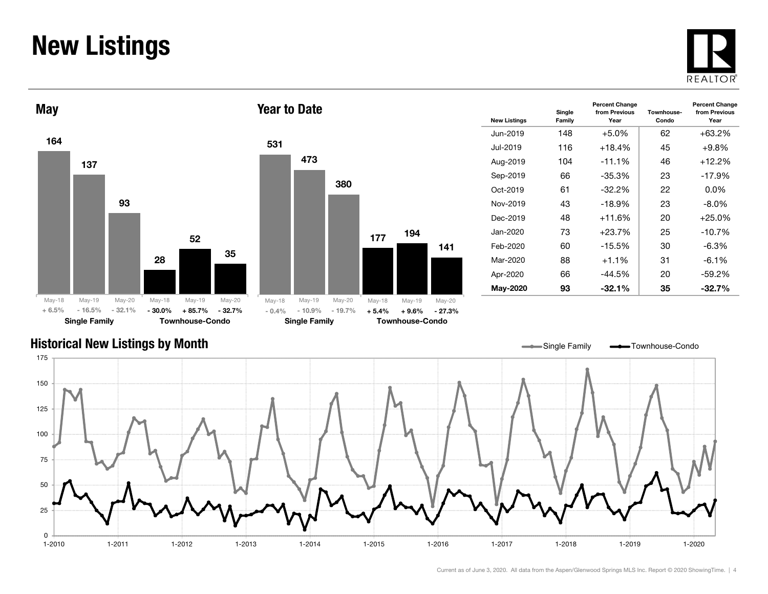### New Listings







| <b>New Listings</b> | Single<br>Family | <b>Percent Change</b><br>from Previous<br>Year | Townhouse-<br>Condo | <b>Percent Change</b><br>from Previous<br>Year |
|---------------------|------------------|------------------------------------------------|---------------------|------------------------------------------------|
| Jun-2019            | 148              | +5.0%                                          | 62                  | $+63.2%$                                       |
| Jul-2019            | 116              | $+18.4%$                                       | 45                  | $+9.8%$                                        |
| Aug-2019            | 104              | $-11.1%$                                       | 46                  | $+12.2%$                                       |
| Sep-2019            | 66               | -35.3%                                         | 23                  | $-17.9%$                                       |
| Oct-2019            | 61               | $-32.2\%$                                      | 22                  | $0.0\%$                                        |
| Nov-2019            | 43               | $-18.9%$                                       | 23                  | $-8.0\%$                                       |
| Dec-2019            | 48               | +11.6%                                         | 20                  | $+25.0%$                                       |
| Jan-2020            | 73               | $+23.7%$                                       | 25                  | $-10.7%$                                       |
| Feb-2020            | 60               | $-15.5\%$                                      | 30                  | $-6.3%$                                        |
| Mar-2020            | 88               | $+1.1%$                                        | 31                  | $-6.1%$                                        |
| Apr-2020            | 66               | $-44.5%$                                       | 20                  | $-59.2%$                                       |
| May-2020            | 93               | $-32.1%$                                       | 35                  | $-32.7%$                                       |

#### Historical New Listings by Month

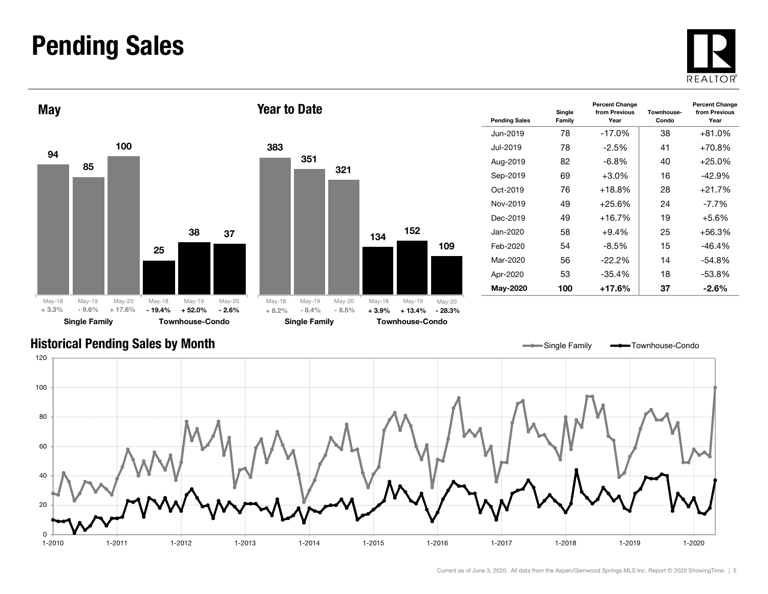#### Pending Sales







Year to Date

| <b>Pending Sales</b> | Single<br>Family | <b>Percent Change</b><br>from Previous<br>Year | Townhouse-<br>Condo | <b>Percent Change</b><br>from Previous<br>Year |
|----------------------|------------------|------------------------------------------------|---------------------|------------------------------------------------|
| Jun-2019.            | 78               | $-17.0\%$                                      | 38                  | $+81.0%$                                       |
| Jul-2019.            | 78               | $-2.5%$                                        | 41                  | $+70.8%$                                       |
| Aug-2019             | 82               | $-6.8\%$                                       | 40                  | $+25.0\%$                                      |
| Sep-2019             | 69               | $+3.0\%$                                       | 16                  | $-42.9%$                                       |
| $Oct-2019$           | 76               | $+18.8%$                                       | 28                  | $+21.7%$                                       |
| Nov-2019             | 49               | $+25.6%$                                       | 24                  | -7.7%                                          |
| Dec-2019             | 49               | $+16.7%$                                       | 19                  | $+5.6\%$                                       |
| Jan-2020             | 58               | $+9.4%$                                        | 25                  | $+56.3%$                                       |
| Feb-2020             | 54               | -8.5%                                          | 15                  | -46.4%                                         |
| Mar-2020             | 56               | $-22.2%$                                       | 14                  | -54.8%                                         |
| Apr-2020             | 53               | $-35.4%$                                       | 18                  | -53.8%                                         |
| May-2020             | 100              | +17.6%                                         | 37                  | $-2.6\%$                                       |

Single Family **Townhouse-Condo** 

#### Historical Pending Sales by Month

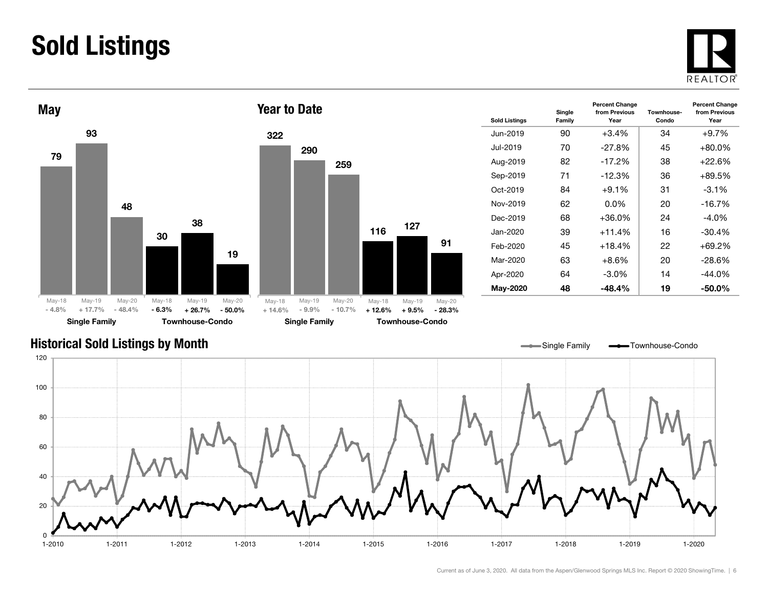### Sold Listings





| <b>Sold Listings</b> | Single<br>Family | <b>Percent Change</b><br>from Previous<br>Year | Townhouse-<br>Condo | <b>Percent Change</b><br>from Previous<br>Year |
|----------------------|------------------|------------------------------------------------|---------------------|------------------------------------------------|
| Jun-2019             | 90               | $+3.4\%$                                       | 34                  | $+9.7%$                                        |
| Jul-2019             | 70               | $-27.8%$                                       | 45                  | $+80.0\%$                                      |
| Aug-2019             | 82               | $-17.2%$                                       | 38                  | $+22.6\%$                                      |
| Sep-2019             | 71               | $-12.3%$                                       | 36                  | +89.5%                                         |
| $Oct-2019$           | 84               | $+9.1\%$                                       | 31                  | $-3.1%$                                        |
| Nov-2019             | 62               | 0.0%                                           | 20                  | $-16.7%$                                       |
| Dec-2019             | 68               | +36.0%                                         | 24                  | -4.0%                                          |
| Jan-2020             | 39               | $+11.4%$                                       | 16                  | $-30.4%$                                       |
| Feb-2020             | 45               | $+18.4%$                                       | 22                  | +69.2%                                         |
| Mar-2020             | 63               | $+8.6\%$                                       | 20                  | -28.6%                                         |
| Apr-2020             | 64               | $-3.0\%$                                       | 14                  | $-44.0%$                                       |
| May-2020             | 48               | $-48.4%$                                       | 19                  | $-50.0\%$                                      |

#### Historical Sold Listings by Month

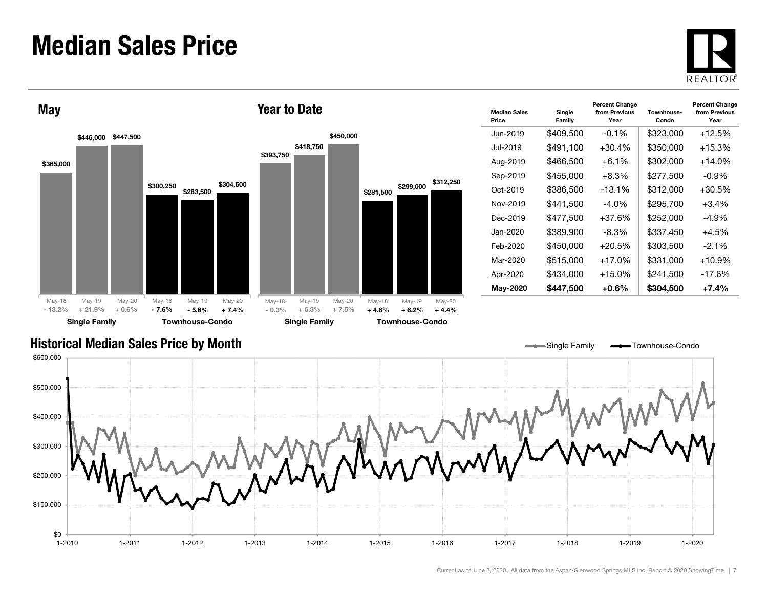#### Median Sales Price





| <b>Median Sales</b><br>Price | Single<br>Family | <b>Percent Change</b><br>from Previous<br>Year | Townhouse-<br>Condo | <b>Percent Change</b><br>from Previous<br>Year |
|------------------------------|------------------|------------------------------------------------|---------------------|------------------------------------------------|
| Jun-2019                     | \$409,500        | $-0.1\%$                                       | \$323,000           | $+12.5%$                                       |
| Jul-2019                     | \$491,100        | $+30.4%$                                       | \$350,000           | $+15.3%$                                       |
| Aug-2019                     | \$466,500        | $+6.1%$                                        | \$302,000           | $+14.0\%$                                      |
| Sep-2019                     | \$455,000        | $+8.3\%$                                       | \$277.500           | -0.9%                                          |
| Oct-2019                     | \$386,500        | $-13.1%$                                       | \$312,000           | $+30.5%$                                       |
| Nov-2019                     | \$441,500        | -4.0%                                          | \$295,700           | $+3.4%$                                        |
| Dec-2019                     | \$477,500        | $+37.6%$                                       | \$252,000           | -4.9%                                          |
| Jan-2020.                    | \$389,900        | -8.3%                                          | \$337,450           | $+4.5%$                                        |
| Feb-2020                     | \$450,000        | $+20.5%$                                       | \$303,500           | $-2.1\%$                                       |
| Mar-2020                     | \$515,000        | $+17.0%$                                       | \$331,000           | $+10.9%$                                       |
| Apr-2020                     | \$434,000        | $+15.0%$                                       | \$241,500           | $-17.6%$                                       |
| May-2020                     | \$447,500        | $+0.6\%$                                       | \$304.500           | $+7.4%$                                        |

Single Family **-** Townhouse-Condo

#### Historical Median Sales Price by Month

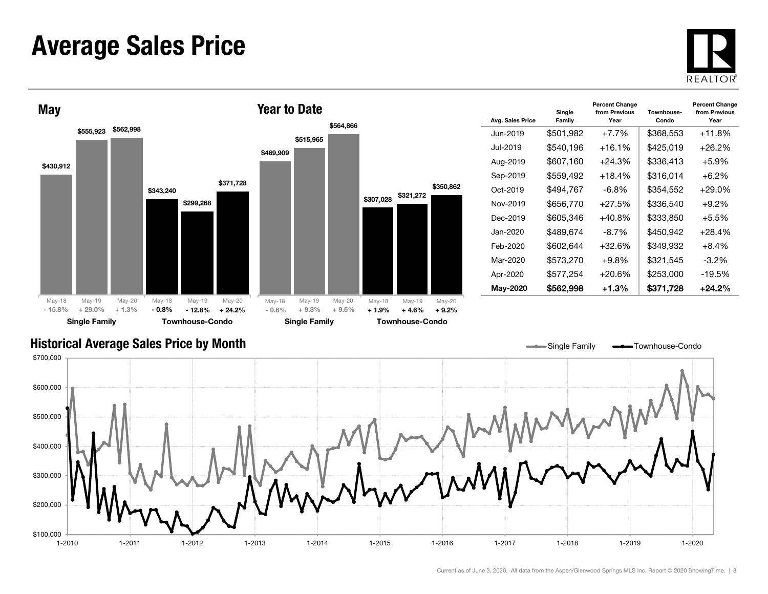#### Average Sales Price





| Avg. Sales Price | Single<br>Family | <b>Percent Change</b><br>from Previous<br>Year | Townhouse-<br>Condo | <b>Percent Change</b><br>from Previous<br>Year |
|------------------|------------------|------------------------------------------------|---------------------|------------------------------------------------|
| Jun-2019         | \$501,982        | $+7.7%$                                        | \$368,553           | $+11.8%$                                       |
| .Jul-2019        | \$540,196        | $+16.1%$                                       | \$425,019           | $+26.2\%$                                      |
| Aug-2019         | \$607.160        | +24.3%                                         | \$336.413           | $+5.9\%$                                       |
| Sep-2019         | \$559.492        | $+18.4%$                                       | \$316.014           | $+6.2%$                                        |
| Oct-2019         | \$494.767        | $-6.8\%$                                       | \$354,552           | $+29.0\%$                                      |
| Nov-2019         | \$656,770        | $+27.5%$                                       | \$336,540           | $+9.2%$                                        |
| Dec-2019         | \$605,346        | $+40.8%$                                       | \$333,850           | $+5.5%$                                        |
| Jan-2020.        | \$489.674        | $-8.7\%$                                       | \$450,942           | $+28.4%$                                       |
| Feb-2020         | \$602,644        | +32.6%                                         | \$349,932           | $+8.4%$                                        |
| Mar-2020         | \$573,270        | +9.8%                                          | \$321,545           | $-3.2\%$                                       |
| Apr-2020         | \$577,254        | +20.6%                                         | \$253,000           | $-19.5%$                                       |
| <b>May-2020</b>  | \$562,998        | $+1.3%$                                        | \$371,728           | +24.2%                                         |

Single Family **- Townhouse-Condo** 

#### Historical Average Sales Price by Month

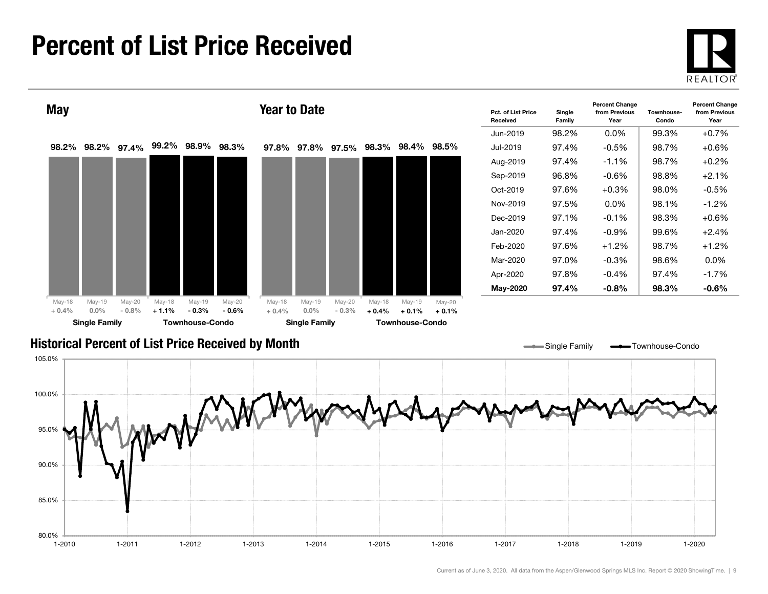#### Percent of List Price Received

80.0%

85.0%





1-2010 1-2011 1-2012 1-2013 1-2014 1-2015 1-2016 1-2017 1-2018 1-2019 1-2020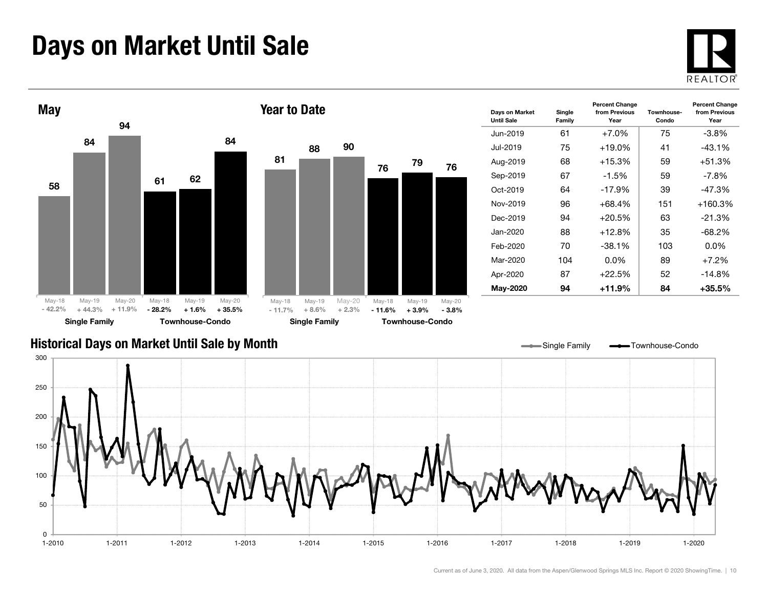### Days on Market Until Sale





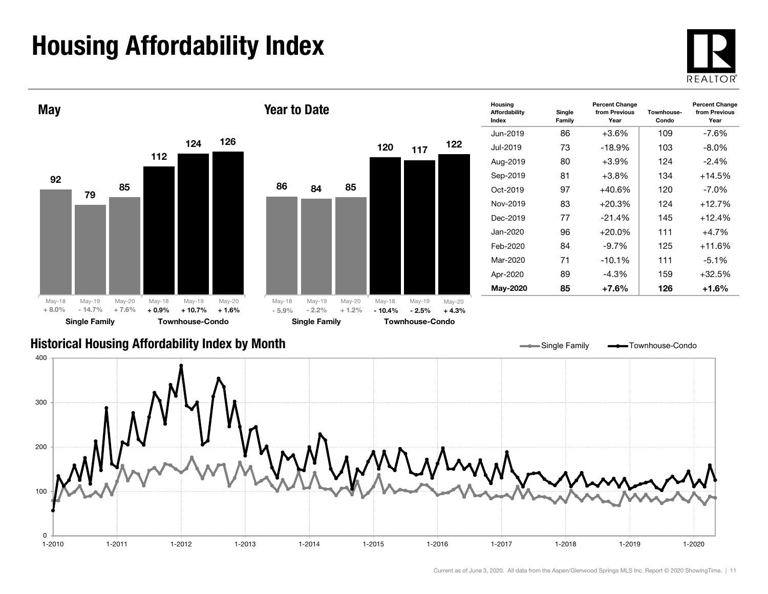## Housing Affordability Index



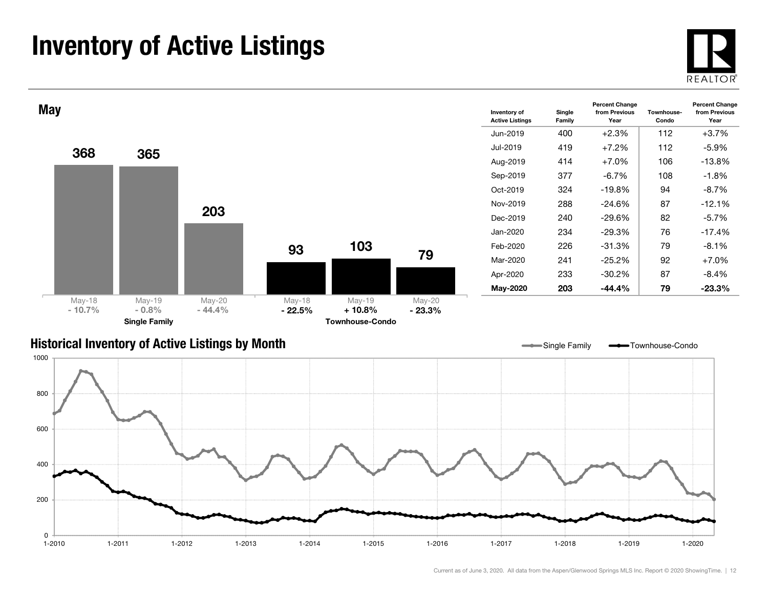### Inventory of Active Listings





#### Historical Inventory of Active Listings by Month



Single Family **-** Townhouse-Condo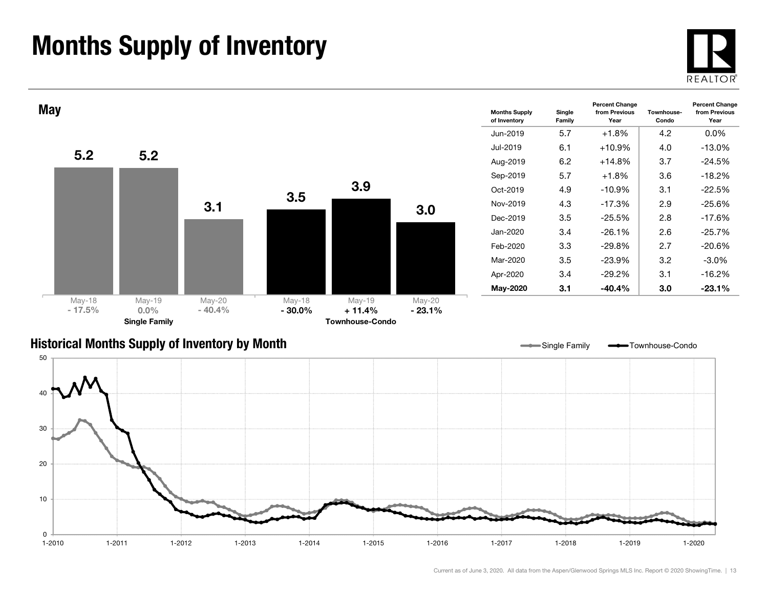### Months Supply of Inventory

 $\Omega$  $1 - 2010$ 



1-2020



1-2010 1-2011 1-2012 1-2013 1-2014 1-2015 1-2016 1-2017 1-2018 1-2019 1-2020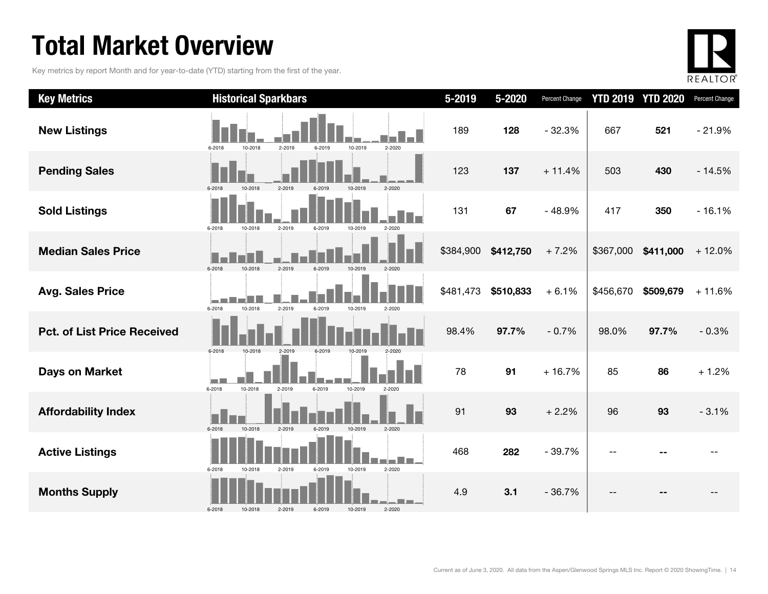### Total Market Overview

Key metrics by report Month and for year-to-date (YTD) starting from the first of the year.



| <b>Key Metrics</b>                 | <b>Historical Sparkbars</b>                                        | $5 - 2019$ | 5-2020    | Percent Change |           | <b>YTD 2019 YTD 2020</b> | Percent Change |
|------------------------------------|--------------------------------------------------------------------|------------|-----------|----------------|-----------|--------------------------|----------------|
| <b>New Listings</b>                | 2-2019<br>10-2019<br>2-2020<br>6-2018<br>10-2018<br>6-2019         | 189        | 128       | $-32.3%$       | 667       | 521                      | $-21.9%$       |
| <b>Pending Sales</b>               | 6-2018<br>10-2018<br>2-2019<br>10-2019<br>2-2020<br>6-2019         | 123        | 137       | $+11.4%$       | 503       | 430                      | $-14.5%$       |
| <b>Sold Listings</b>               | 2-2019<br>6-2018<br>10-2018<br>6-2019<br>10-2019<br>$2 - 2020$     | 131        | 67        | $-48.9%$       | 417       | 350                      | $-16.1%$       |
| <b>Median Sales Price</b>          | 6-2018<br>2-2019<br>10-2018<br>$2 - 2020$<br>6-2019<br>10-2019     | \$384,900  | \$412,750 | $+7.2%$        | \$367,000 | \$411,000                | $+12.0%$       |
| <b>Avg. Sales Price</b>            | 6-2018<br>10-2018<br>2-2019<br>6-2019<br>10-2019<br>2-2020         | \$481,473  | \$510,833 | $+6.1%$        | \$456,670 | \$509,679                | $+11.6%$       |
| <b>Pct. of List Price Received</b> | 6-2018<br>$2 - 2019$<br>10-2018<br>6-2019<br>10-2019               | 98.4%      | 97.7%     | $-0.7%$        | 98.0%     | 97.7%                    | $-0.3%$        |
| <b>Days on Market</b>              | 10-2019<br>6-2018<br>10-2018<br>2-2019<br>6-2019<br>2-2020         | 78         | 91        | $+16.7%$       | 85        | 86                       | $+1.2%$        |
| <b>Affordability Index</b>         | 10-2018<br>6-2018<br>$2 - 2019$<br>6-2019<br>$2 - 2020$<br>10-2019 | 91         | 93        | $+2.2%$        | 96        | 93                       | $-3.1%$        |
| <b>Active Listings</b>             | 2-2020<br>6-2018<br>10-2018<br>2-2019<br>10-2019<br>6-2019         | 468        | 282       | $-39.7%$       |           |                          |                |
| <b>Months Supply</b>               | 2-2020<br>6-2018<br>2-2019<br>6-2019<br>10-2019<br>10-2018         | 4.9        | 3.1       | $-36.7%$       |           |                          |                |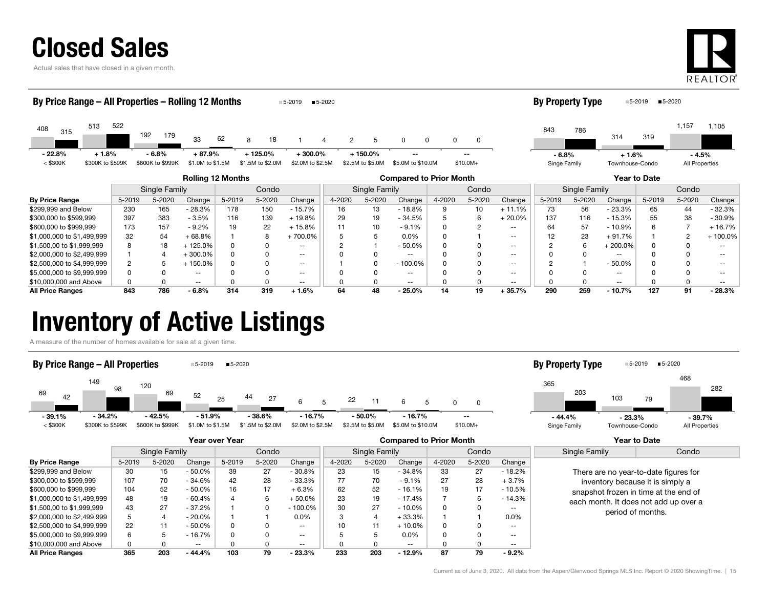

Actual sales that have closed in a given month.



|                                                                                   | By Price Range – All Properties – Rolling 12 Months<br>$5 - 2020$<br>$-5 - 2019$ |                  |                  |          |                  |                  |                     |                  |                   |              |           |          | <b>By Property Type</b> |               |                          | ■5-2020<br>5-2019 |                |                   |
|-----------------------------------------------------------------------------------|----------------------------------------------------------------------------------|------------------|------------------|----------|------------------|------------------|---------------------|------------------|-------------------|--------------|-----------|----------|-------------------------|---------------|--------------------------|-------------------|----------------|-------------------|
| 513<br>408<br>315                                                                 | 522                                                                              | 192<br>179       | 33               | 62       | 18<br>8          |                  | $\overline{2}$<br>4 | 5                | 0<br>0            |              | 0         |          | 843                     | 786           | 314                      | 319               | 1,157          | 1,105             |
| $-22.8%$<br>$+1.8%$                                                               |                                                                                  | $-6.8%$          | $+87.9%$         |          | $+125.0\%$       | $+300.0%$        |                     | $+150.0\%$       |                   |              |           |          | $-6.8%$                 |               | $+1.6%$                  |                   | $-4.5%$        |                   |
| $<$ \$300K<br>\$300K to \$599K                                                    |                                                                                  | \$600K to \$999K | \$1.0M to \$1.5M |          | \$1.5M to \$2.0M | \$2.0M to \$2.5M |                     | \$2.5M to \$5.0M | \$5.0M to \$10.0M |              | $$10.0M+$ |          | Singe Family            |               | Townhouse-Condo          |                   | All Properties |                   |
| <b>Rolling 12 Months</b><br><b>Compared to Prior Month</b><br><b>Year to Date</b> |                                                                                  |                  |                  |          |                  |                  |                     |                  |                   |              |           |          |                         |               |                          |                   |                |                   |
|                                                                                   |                                                                                  | Single Family    |                  |          | Condo            |                  |                     | Single Family    |                   |              | Condo     |          |                         | Single Family |                          |                   | Condo          |                   |
| <b>By Price Range</b>                                                             | 5-2019                                                                           | 5-2020           | Change           | 5-2019   | 5-2020           | Change           | 4-2020              | 5-2020           | Change            | 4-2020       | 5-2020    | Change   | 5-2019                  | 5-2020        | Change                   | 5-2019            | 5-2020         | Change            |
| \$299,999 and Below                                                               | 230                                                                              | 165              | $-28.3%$         | 178      | 150              | - 15.7%          | 16                  | 13               | - 18.8%           | 9            | 10        | $+11.1%$ | 73                      | 56            | $-23.3%$                 | 65                | 44             | $-32.3%$          |
| \$300,000 to \$599,999                                                            | 397                                                                              | 383              | $-3.5%$          | 116      | 139              | $+19.8%$         | 29                  | 19               | $-34.5%$          |              | 6         | $+20.0%$ | 137                     | 116           | $-15.3%$                 | 55                | 38             | $-30.9%$          |
| \$600,000 to \$999,999                                                            | 173                                                                              | 157              | $-9.2%$          | 19       | 22               | $+15.8%$         |                     | 10               | $-9.1%$           |              |           | $- -$    | 64                      | 57            | $-10.9%$                 | 6                 |                | + 16.7%           |
| \$1,000,000 to \$1,499,999                                                        | 32                                                                               | 54               | $+68.8%$         |          | 8                | $+700.0\%$       |                     |                  | 0.0%              | <sup>0</sup> |           | $- -$    | 12                      | 23            | $+91.7%$                 |                   | 2              | +100.0%           |
| \$1,500,00 to \$1,999,999                                                         | 8                                                                                | 18               | + 125.0%         | $\Omega$ |                  | $- -$            |                     |                  | $-50.0%$          |              |           | $- -$    |                         | 6             | $+200.0%$                | O                 |                | $\qquad \qquad -$ |
| \$2,000,000 to \$2,499,999                                                        |                                                                                  | 4                | $+300.0\%$       |          |                  | $- -$            |                     |                  | $\sim$ $\sim$     |              |           | $- -$    |                         | 0             | $\overline{\phantom{m}}$ |                   |                | $- -$             |
| \$2,500,000 to \$4,999,999                                                        |                                                                                  | 5                | $+150.0\%$       |          |                  | $- -$            |                     |                  | $-100.0%$         |              |           | $- -$    |                         |               | $-50.0%$                 |                   |                | --                |
| \$5,000,000 to \$9,999,999                                                        |                                                                                  | 0                | $- -$            |          |                  | $- -$            |                     |                  | $\sim$ $\sim$     |              |           | $- -$    |                         | 0             | $\sim$ $\sim$            |                   |                |                   |

\$10,000,000 and Above 0 0 -- 0 0 -- 0 0 -- 0 0 -- 0 0 -- 0 0 -- All Price Ranges 843 786 - 6.8% 314 319 + 1.6% 64 48 - 25.0% 14 19 + 35.7% 290 259 - 10.7% 127 91 - 28.3%

#### Inventory of Active Listings

A measure of the number of homes available for sale at a given time.



|                            |        |               |           | Year over Year |        |                          | <b>Compared to Prior Month</b> |               |           |        |        |                   |                                       | <b>Year to Date</b>                   |  |  |
|----------------------------|--------|---------------|-----------|----------------|--------|--------------------------|--------------------------------|---------------|-----------|--------|--------|-------------------|---------------------------------------|---------------------------------------|--|--|
|                            |        | Single Family |           |                | Condo  |                          |                                | Single Family |           |        | Condo  |                   | Single Family                         | Condo                                 |  |  |
| <b>By Price Range</b>      | 5-2019 | 5-2020        | Change    | 5-2019         | 5-2020 | Change                   | 4-2020                         | 5-2020        | Change    | 4-2020 | 5-2020 | Change            |                                       |                                       |  |  |
| \$299,999 and Below        | 30     | 15            | $-50.0\%$ | 39             | 27     | $-30.8%$                 | 23                             | 15            | $-34.8%$  | 33     | 27     | $-18.2%$          |                                       | There are no year-to-date figures for |  |  |
| \$300,000 to \$599.999     | 107    | 70            | $-34.6%$  | 42             | 28     | $-33.3%$                 | 77                             | 70            | $-9.1%$   | 27     | 28     | $+3.7%$           |                                       | inventory because it is simply a      |  |  |
| \$600,000 to \$999,999     | 104    | 52            | $-50.0\%$ | 16             | 17     | $+6.3%$                  | 62                             | 52            | $-16.1%$  | 19     | 17     | $-10.5%$          | snapshot frozen in time at the end of |                                       |  |  |
| \$1,000,000 to \$1,499,999 | 48     | 19            | - 60.4%   |                |        | $+50.0%$                 | 23                             | 19            | - 17.4%   |        |        | $-14.3%$          |                                       | each month. It does not add up over a |  |  |
| \$1,500,00 to \$1,999,999  | 43     | 27            | $-37.2%$  |                |        | $-100.0\%$               | 30                             | 27            | $-10.0\%$ | 0      |        | $- -$             |                                       | period of months.                     |  |  |
| \$2,000,000 to \$2,499,999 |        |               | $-20.0\%$ |                |        | $0.0\%$                  |                                | $\Delta$      | $+33.3%$  |        |        | 0.0%              |                                       |                                       |  |  |
| \$2,500,000 to \$4,999,999 | 22     | 11            | $-50.0\%$ |                |        | $\overline{\phantom{a}}$ |                                |               | $+10.0\%$ | 0      |        | $\qquad \qquad -$ |                                       |                                       |  |  |
| \$5,000,000 to \$9,999,999 | 6      |               | $-16.7%$  |                |        | $- -$                    |                                | 5             | $0.0\%$   | 0      |        | $- -$             |                                       |                                       |  |  |
| \$10,000,000 and Above     |        |               | $- -$     |                |        | $- -$                    |                                | 0             | $- -$     | O      |        | $- -$             |                                       |                                       |  |  |
| <b>All Price Ranges</b>    | 365    | 203           | $-44.4%$  | 103            | 79     | $-23.3%$                 | 233                            | 203           | $-12.9%$  | 87     | 79     | $-9.2%$           |                                       |                                       |  |  |